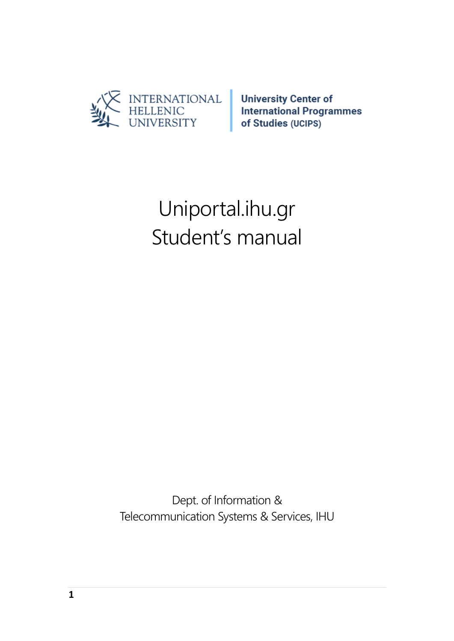

# Uniportal.ihu.gr Student's manual

Dept. of Information & Telecommunication Systems & Services, IHU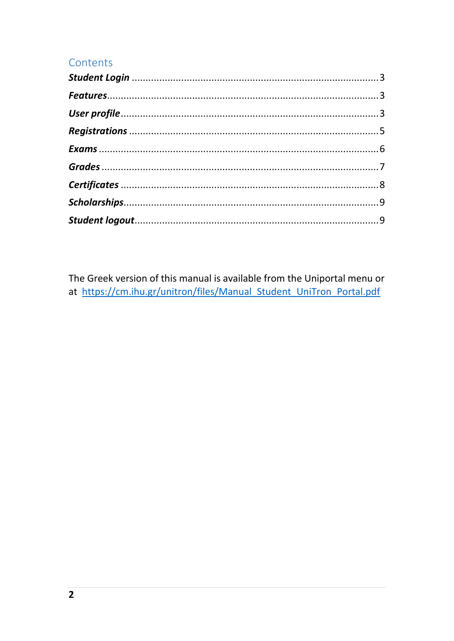#### Contents

The Greek version of this manual is available from the Uniportal menu or at https://cm.ihu.gr/unitron/files/Manual\_Student\_UniTron\_Portal.pdf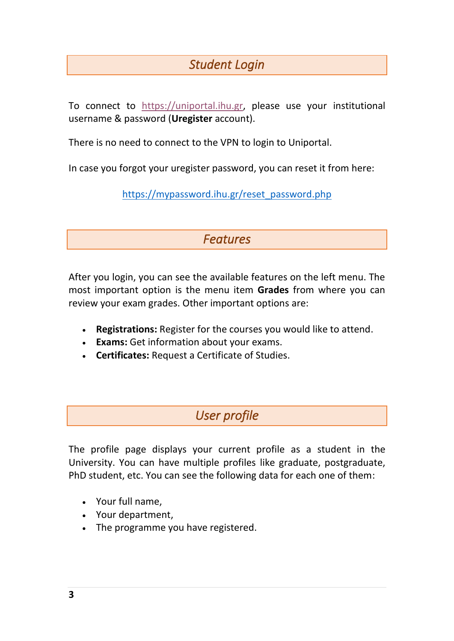## *Student Login*

<span id="page-2-0"></span>To connect to [https://uniportal.ihu.gr,](https://uniportal.ihu.gr/) please use your institutional username & password (**Uregister** account).

There is no need to connect to the VPN to login to Uniportal.

<span id="page-2-1"></span>In case you forgot your uregister password, you can reset it from here:

[https://mypassword.ihu.gr/reset\\_password.php](https://mypassword.ihu.gr/reset_password.php)

*Features* 

After you login, you can see the available features on the left menu. The most important option is the menu item **Grades** from where you can review your exam grades. Other important options are:

- **Registrations:** Register for the courses you would like to attend.
- **Exams:** Get information about your exams.
- <span id="page-2-2"></span>• **Certificates:** Request a Certificate of Studies.

### *User profile*

The profile page displays your current profile as a student in the University. You can have multiple profiles like graduate, postgraduate, PhD student, etc. You can see the following data for each one of them:

- Your full name,
- Your department,
- The programme you have registered.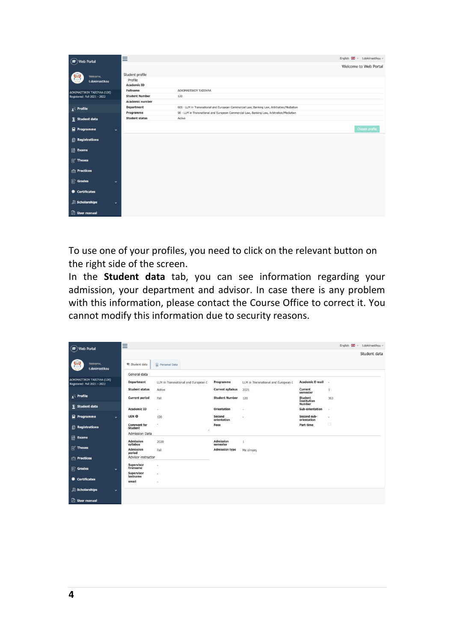| $(\mathbf{F})$ Web Portal              | Ξ                                                |                                                                                            | English & v t.dokimastikou v |
|----------------------------------------|--------------------------------------------------|--------------------------------------------------------------------------------------------|------------------------------|
|                                        |                                                  |                                                                                            | Welcome to Web Portal        |
| Welcome,<br>t.dokimastikou             | Student profile<br>Profile<br><b>Academic ID</b> |                                                                                            |                              |
| ΔΟΚΙΜΑΣΤΙΚΟΥ ΤΑΣΟΥΛΑ (120)             | <b>Fullname</b>                                  | ΔΟΚΙΜΑΣΤΙΚΟΥ ΤΑΣΟΥΛΑ                                                                       |                              |
| Registered: Fall 2021 - 2022           | <b>Student Number</b>                            | 120                                                                                        |                              |
|                                        | <b>Academic number</b>                           |                                                                                            |                              |
| $\cdot$ Profile                        | <b>Department</b>                                | 609 - LLM in Transnational and European Commercial Law, Banking Law, Arbitration/Mediation |                              |
|                                        | Programme                                        | 98 - LLM in Transnational and European Commercial Law, Banking Law, Arbitration/Mediation  |                              |
| $\sum_{n=1}^{\infty}$ Student data     | <b>Student status</b>                            | Active                                                                                     |                              |
| $\mathbf{r}$ Programme<br>$\checkmark$ |                                                  |                                                                                            | Chosen profile               |
| <b>Registrations</b>                   |                                                  |                                                                                            |                              |
| <b>Exams</b>                           |                                                  |                                                                                            |                              |
| $\mathbb{R}$ Theses                    |                                                  |                                                                                            |                              |
| <b>Practices</b>                       |                                                  |                                                                                            |                              |
| <b>Grades</b><br>$\checkmark$          |                                                  |                                                                                            |                              |
| Certificates                           |                                                  |                                                                                            |                              |
| Scholarships<br>v                      |                                                  |                                                                                            |                              |
| <b>D</b> User manual                   |                                                  |                                                                                            |                              |

To use one of your profiles, you need to click on the relevant button on the right side of the screen.

In the **Student data** tab, you can see information regarding your admission, your department and advisor. In case there is any problem with this information, please contact the Course Office to correct it. You cannot modify this information due to security reasons.

| $\circled{r}$ Web Portal                                   | Ξ                                         |                                     |                                   |                                     |                                                | English & v t.dokimastikou v |
|------------------------------------------------------------|-------------------------------------------|-------------------------------------|-----------------------------------|-------------------------------------|------------------------------------------------|------------------------------|
|                                                            |                                           |                                     |                                   |                                     |                                                | Student data                 |
| Welcome,<br>t.dokimastikou                                 | Student data                              | (2) Personal Data                   |                                   |                                     |                                                |                              |
|                                                            | General data                              |                                     |                                   |                                     |                                                |                              |
| ΔΟΚΙΜΑΣΤΙΚΟΥ ΤΑΣΟΥΛΑ (120)<br>Registered: Fall 2021 - 2022 | <b>Department</b>                         | LLM in Transnational and European C | Programme                         | LLM in Transnational and European C | <b>Academic E-mail</b> -                       |                              |
|                                                            | <b>Student status</b>                     | Active                              | <b>Current syllabus</b>           | 2021                                | Current<br>semester                            | $\mathbf{1}$                 |
| $\sqrt{2}$ Profile                                         | <b>Current period</b>                     | Fall                                | <b>Student Number</b>             | 120                                 | <b>Student</b><br>Institution<br><b>Number</b> | 363                          |
| Student data                                               | <b>Academic ID</b>                        | $\sim$                              | Orientation                       | $\sim$                              | Sub-orientation                                | $\sim$                       |
| Programme<br>$\checkmark$                                  | <b>UEN ®</b>                              | 120                                 | Second<br>orientation             | $\sim$                              | Second sub-<br>orientation                     | $\sim$                       |
| <b>Registrations</b>                                       | <b>Comment</b> for<br><b>Student</b>      | $\,$<br>7,                          | Fees                              |                                     | Part-time                                      | $\Box$                       |
| <b>I</b> R Exams                                           | <b>Admission Data</b><br><b>Admission</b> | 2020                                | <b>Admission</b>                  | 1                                   |                                                |                              |
| $\mathbb{R}^2$ Theses                                      | syllabus<br>Admission<br>period           | Fall                                | semester<br><b>Admission type</b> | Με αίτηση                           |                                                |                              |
| <b>Fig. Practices</b>                                      | Advisor instructor                        |                                     |                                   |                                     |                                                |                              |
| <b>Strades</b><br>$\ddot{}$                                | Supervisor<br>firstname                   | ٠                                   |                                   |                                     |                                                |                              |
| <b>SEC</b> Certificates                                    | Supervisor<br>lastname<br>email           | ×                                   |                                   |                                     |                                                |                              |
| Scholarships<br>$\checkmark$                               |                                           | ٠                                   |                                   |                                     |                                                |                              |
| <b>D</b> User manual                                       |                                           |                                     |                                   |                                     |                                                |                              |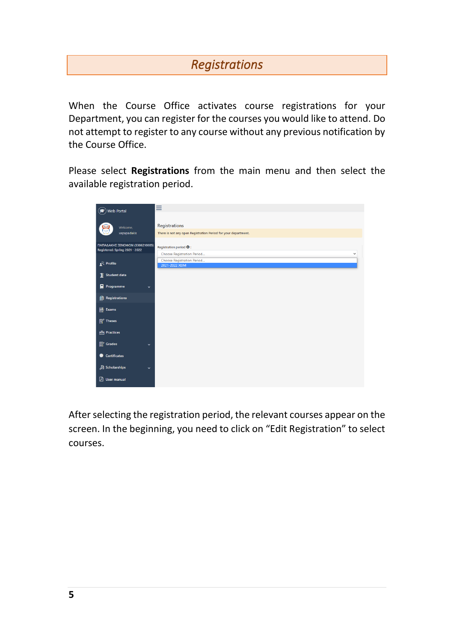### *Registrations*

<span id="page-4-0"></span>When the Course Office activates course registrations for your Department, you can register for the courses you would like to attend. Do not attempt to register to any course without any previous notification by the Course Office.

Please select **Registrations** from the main menu and then select the available registration period.



After selecting the registration period, the relevant courses appear on the screen. In the beginning, you need to click on "Edit Registration" to select courses.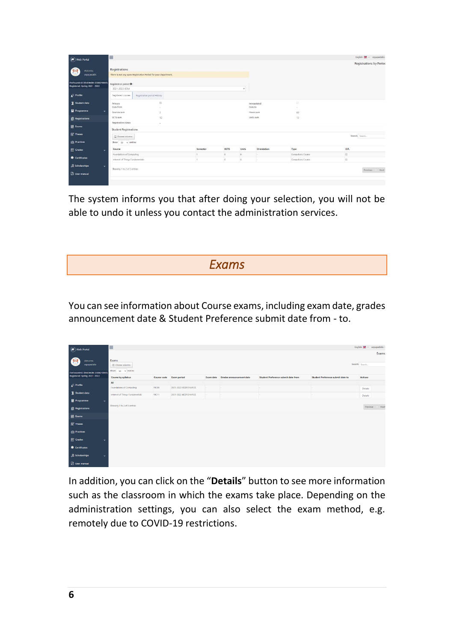| (P) Web Portal                                                          | Ε                                                              |                             |          |      |                |                 |                   |                                |  |
|-------------------------------------------------------------------------|----------------------------------------------------------------|-----------------------------|----------|------|----------------|-----------------|-------------------|--------------------------------|--|
|                                                                         |                                                                |                             |          |      |                |                 |                   | <b>Registrations by Period</b> |  |
| ЮÜ<br><b>Welcome</b>                                                    | Registrations                                                  |                             |          |      |                |                 |                   |                                |  |
| <b>xepapadakis</b>                                                      | There is not any open Registration Period for your department. |                             |          |      |                |                 |                   |                                |  |
| <b>ΠΑΠΑΔΑΚΗΣ ΞΕΝΟΦΩΝ (3306210005)</b><br>Registered: Spring 2021 - 2022 | Registration period <sup>O</sup>                               |                             |          |      |                |                 |                   |                                |  |
|                                                                         | 2021-2022 XEIM                                                 |                             |          |      | $\sim$         |                 |                   |                                |  |
| $\sum$ Profile                                                          | Registered courses                                             | Registration period History |          |      |                |                 |                   |                                |  |
| Student data                                                            | Primary                                                        | $\boxtimes$                 |          |      |                | Interpolated    | o                 |                                |  |
| Programme<br>$\checkmark$                                               | Date from                                                      |                             |          |      |                | Date to         | $\sim$            |                                |  |
|                                                                         | Courses sum                                                    | $\overline{\mathbf{z}}$     |          |      |                | Hours sum<br>60 |                   |                                |  |
| <b>Registrations</b>                                                    | <b>ECTS</b> sum                                                | 12                          |          |      |                | Units sum       | 12                |                                |  |
|                                                                         | Registration status                                            |                             |          |      |                |                 |                   |                                |  |
| <b>昆</b> Exams                                                          | <b>Student Registrations</b>                                   |                             |          |      |                |                 |                   |                                |  |
| <sup>2</sup> Theses                                                     | Choose columns                                                 |                             |          |      |                |                 |                   | Search: Search.                |  |
| <b>Practices</b>                                                        | Show $50 \times$ entries                                       |                             |          |      |                |                 |                   |                                |  |
| Grades<br>$\ddot{\phantom{1}}$                                          | Course                                                         |                             | Semester | ECTS | Units          | Orientation     | Type              | D.R.                           |  |
|                                                                         | Foundations of Computing                                       |                             |          | 6    | 6              | ٠               | Compulsory Course | is.                            |  |
| Certificates                                                            | Internet of Things Fundamentals                                |                             |          |      | $\overline{6}$ |                 | Compulsory Course | 153                            |  |
| Scholarships<br>$\checkmark$                                            |                                                                |                             |          |      |                |                 |                   |                                |  |
|                                                                         | Showing 1 to 2 of 2 entries                                    |                             |          |      |                |                 |                   | Previous   Next                |  |
| <b>B</b> User manual                                                    |                                                                |                             |          |      |                |                 |                   |                                |  |

<span id="page-5-0"></span>The system informs you that after doing your selection, you will not be able to undo it unless you contact the administration services.

*Exams* 

You can see information about Course exams, including exam date, grades announcement date & Student Preference submit date from - to.

| $\circledR$ Web Portal                | Ξ                               |             |                       |     |                                    |                                            |                                          | English $\frac{d\mathbf{H}}{d\mathbf{H}}$ $\times$ xepapadakis $\times$ |
|---------------------------------------|---------------------------------|-------------|-----------------------|-----|------------------------------------|--------------------------------------------|------------------------------------------|-------------------------------------------------------------------------|
|                                       |                                 |             |                       |     |                                    |                                            |                                          | Exams                                                                   |
| <b>og</b><br>Welcome,<br>xepapadakis  | Exams<br>Choose columns         |             |                       |     |                                    |                                            |                                          | Search: Search                                                          |
| ΠΑΠΑΔΑΚΗΣ ΞΕΝΟΦΩΝ (3306210005)        | Show so $\vee$ entries          |             |                       |     |                                    |                                            |                                          |                                                                         |
| Registered: Spring 2021 - 2022        | <b>Course by syllabus</b>       | Course code | <b>Exam period</b>    |     | Exam date Grades announcement date | <b>Student Preference submit date from</b> | <b>Student Preference submit date to</b> | <b>Actions</b>                                                          |
| $\mathbf{r}$ Profile                  | All                             |             |                       |     |                                    |                                            |                                          |                                                                         |
|                                       | Foundations of Computing        | MC09        | 2021-2022 ΦΕΒΡΟΥΑΡΙΟΣ | H.  |                                    | ۰.                                         |                                          | Details                                                                 |
| Student data                          | Internet of Things Fundamentals | MC11        | 2021-2022 ΦΕΒΡΟΥΑΡΙΟΣ | le. |                                    | ۰.                                         |                                          | Details                                                                 |
| Programme<br>$\check{~}$              |                                 |             |                       |     |                                    |                                            |                                          |                                                                         |
| <b>Registrations</b>                  | Showing 1 to 2 of 2 entries     |             |                       |     |                                    |                                            |                                          | Next<br>Previous                                                        |
| B Exams                               |                                 |             |                       |     |                                    |                                            |                                          |                                                                         |
| $\mathbb{R}^2$ Theses                 |                                 |             |                       |     |                                    |                                            |                                          |                                                                         |
| <b>Practices</b>                      |                                 |             |                       |     |                                    |                                            |                                          |                                                                         |
| $\mathbb{B}^r$ Grades<br>$\mathbf{v}$ |                                 |             |                       |     |                                    |                                            |                                          |                                                                         |
| Certificates                          |                                 |             |                       |     |                                    |                                            |                                          |                                                                         |
| Scholarships<br>$\bullet$             |                                 |             |                       |     |                                    |                                            |                                          |                                                                         |
| <b>D</b> User manual                  |                                 |             |                       |     |                                    |                                            |                                          |                                                                         |

In addition, you can click on the "**Details**" button to see more information such as the classroom in which the exams take place. Depending on the administration settings, you can also select the exam method, e.g. remotely due to COVID-19 restrictions.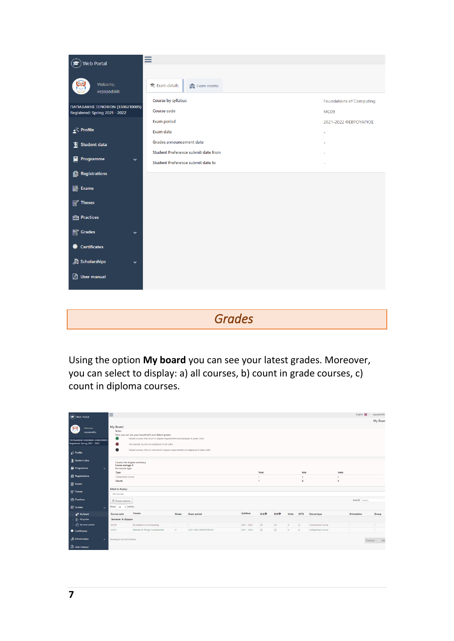

<span id="page-6-0"></span>*Grades* 

Using the option **My board** you can see your latest grades. Moreover, you can select to display: a) all courses, b) count in grade courses, c) count in diploma courses.

| $\circledR$ Web Portal<br>Welcome.<br>xepapadakis<br>ΠΑΠΑΔΑΚΗΣ ΞΕΝΟΦΩΝ (3306210005)<br>Registered: Spring 2021 - 2022 | ≡<br>My Board<br><b>Notes</b><br>●                  | Here you can see your board with your latest grades.<br>Passed courses that count in degree requirements are displayed in green color<br>Not-passed courses are displayed in red color |                |                       |               |                                                  |        |       |                 |                   |                | English EE ~ xepapadakis | <b>My Board</b> |
|-----------------------------------------------------------------------------------------------------------------------|-----------------------------------------------------|----------------------------------------------------------------------------------------------------------------------------------------------------------------------------------------|----------------|-----------------------|---------------|--------------------------------------------------|--------|-------|-----------------|-------------------|----------------|--------------------------|-----------------|
| $\mathbf{r}^{\mathcal{R}}$ Profile                                                                                    |                                                     | Passed courses that do not count in degree requirements are displayed in black color                                                                                                   |                |                       |               |                                                  |        |       |                 |                   |                |                          |                 |
| Student data<br>Programme<br>$\mathbf{v}$                                                                             |                                                     | Courses for degree summary<br>Course average: 9<br>Per course type                                                                                                                     |                |                       |               |                                                  |        |       |                 |                   |                |                          |                 |
| <b>Registrations</b><br><b>昆</b> Exams                                                                                | Type<br>Compulsory Course<br>Counts                 |                                                                                                                                                                                        |                |                       |               | <b>Total</b><br>Ects<br>6<br>×.<br><b>I</b><br>6 |        |       | Units<br>6<br>6 |                   |                |                          |                 |
| <b>Theses</b>                                                                                                         | Select to display:<br>All courses                   |                                                                                                                                                                                        |                |                       |               |                                                  |        |       |                 |                   |                |                          |                 |
| <b>Practices</b><br><b>E</b> Grades<br>$\checkmark$                                                                   | <b>E</b> Choose columns<br>Show $50 \times$ entries |                                                                                                                                                                                        |                |                       |               |                                                  |        |       |                 |                   | Search: Search |                          |                 |
| <sup>2</sup> My board                                                                                                 | <b>Course code</b>                                  | Course                                                                                                                                                                                 | Grade          | <b>Exam period</b>    | Syllabus      | $D.G.$ <sup><math>\Theta</math></sup>            | D.R.O  | Units | ECTS            | Course type       | Orientation    |                          | Group           |
| <b>E-All grades</b>                                                                                                   | Semester: Α εξάμηνο                                 |                                                                                                                                                                                        |                |                       |               |                                                  |        |       |                 |                   |                |                          |                 |
| (a) By exam period                                                                                                    | MC09                                                | Foundations of Computing                                                                                                                                                               |                | ь.                    | $2021 - 2022$ | $\boxdot$<br>$\Box$                              | o      | 6     | 6               | Compulsory Course | $\sim$         |                          |                 |
| Certificates                                                                                                          | <b>MC11</b>                                         | Internet of Things Fundamentals                                                                                                                                                        | $\overline{9}$ | 2021-2022 OEBPOYAPIOE | $2021 - 2022$ |                                                  | $\Box$ | 6     | 6               | Compulsory Course | $\sim$         |                          |                 |
| Scholarships<br>$\checkmark$<br><b>B</b> User manual                                                                  |                                                     | Showing 1 to 2 of 2 entries<br>Nex<br><b>Previous</b>                                                                                                                                  |                |                       |               |                                                  |        |       |                 |                   |                |                          |                 |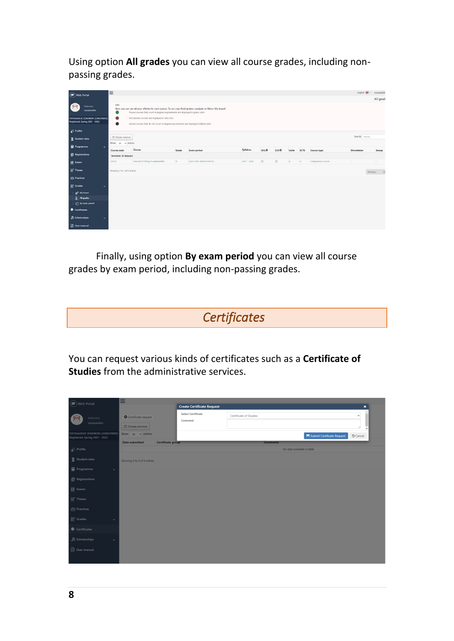Using option **All grades** you can view all course grades, including nonpassing grades.

| $\circledR$ Web Portal                                                                      | $\equiv$                                 |                                                                                                                                                                                                                        |       |                                                                                                           |               |                     |       |       |      |                   |                | English <a> <a> </a> </a> <a> <a> <a> xepapadaki</a></a></a> |
|---------------------------------------------------------------------------------------------|------------------------------------------|------------------------------------------------------------------------------------------------------------------------------------------------------------------------------------------------------------------------|-------|-----------------------------------------------------------------------------------------------------------|---------------|---------------------|-------|-------|------|-------------------|----------------|--------------------------------------------------------------|
| Welcome,<br>xepapadakis<br>ΠΑΠΑΔΑΚΗΣ ΞΕΝΟΦΩΝ (3306210005)<br>Registered: Spring 2021 - 2022 | Info<br>$\bullet$                        | Passed courses that count in degree requirements are displayed in green color<br>Not-passed courses are displayed in red color<br>Passed courses that do not count in degree requirements are displayed in black color |       | Here you can see all your efforts for each course. To see your final grades, navigate to Menu 'My board'. |               |                     |       |       |      |                   |                | All grad                                                     |
| $\mathbb{R}^n$ Profile                                                                      |                                          |                                                                                                                                                                                                                        |       |                                                                                                           |               |                     |       |       |      |                   |                |                                                              |
| $\sum_{n=1}^{\infty}$ Student data                                                          | Choose columns<br>Show so $\vee$ entries |                                                                                                                                                                                                                        |       |                                                                                                           |               |                     |       |       |      |                   | Search: Search |                                                              |
| Programme<br>$\ddot{}$                                                                      | Course code                              | Course                                                                                                                                                                                                                 | Grade | <b>Exam period</b>                                                                                        | Syllabus      | $D.G.$ <sup>O</sup> | D.R.O | Units | ECTS | Course type       | Orientation    | Group                                                        |
| <b>Registrations</b>                                                                        | Semester: Α εξάμηνο                      |                                                                                                                                                                                                                        |       |                                                                                                           |               |                     |       |       |      |                   |                |                                                              |
| E Exams                                                                                     | MC11                                     | Internet of Things Fundamentals                                                                                                                                                                                        | 9     | 2021-2022 ΦΕΒΡΟΥΑΡΙΟΣ                                                                                     | $2021 - 2022$ | (8)                 | 152   | $6 -$ | 6    | Compulsory Course | E.             | ĸ                                                            |
| Theses                                                                                      | Showing 1 to 1 of 1 entries              |                                                                                                                                                                                                                        |       |                                                                                                           |               |                     |       |       |      |                   |                | Previous   Ni                                                |
| Practices                                                                                   |                                          |                                                                                                                                                                                                                        |       |                                                                                                           |               |                     |       |       |      |                   |                |                                                              |
| Grades<br>$\ddot{}$                                                                         |                                          |                                                                                                                                                                                                                        |       |                                                                                                           |               |                     |       |       |      |                   |                |                                                              |
| <b>R</b> <sup>2</sup> My board                                                              |                                          |                                                                                                                                                                                                                        |       |                                                                                                           |               |                     |       |       |      |                   |                |                                                              |
| $\frac{m}{m}$ All grades<br>(-) By exam period                                              |                                          |                                                                                                                                                                                                                        |       |                                                                                                           |               |                     |       |       |      |                   |                |                                                              |
| Certificates                                                                                |                                          |                                                                                                                                                                                                                        |       |                                                                                                           |               |                     |       |       |      |                   |                |                                                              |
| Scholarships<br>$\checkmark$                                                                |                                          |                                                                                                                                                                                                                        |       |                                                                                                           |               |                     |       |       |      |                   |                |                                                              |
| <b>B</b> User manual                                                                        |                                          |                                                                                                                                                                                                                        |       |                                                                                                           |               |                     |       |       |      |                   |                |                                                              |

Finally, using option **By exam period** you can view all course grades by exam period, including non-passing grades.

# <span id="page-7-0"></span>*Certificates*

You can request various kinds of certificates such as a **Certificate of Studies** from the administrative services.

| $\circledast$ Web Portal                                         | Ξ                           |                          |                                   |                        |                                     |                 |
|------------------------------------------------------------------|-----------------------------|--------------------------|-----------------------------------|------------------------|-------------------------------------|-----------------|
|                                                                  |                             |                          | <b>Create Certificate Request</b> |                        |                                     | $\pmb{\times}$  |
| Welcome,                                                         | Certificate request         |                          | Select Certificate<br>Comment     | Certificate of Studies |                                     | $\checkmark$    |
| xepapadakis                                                      | <b>Choose columns</b>       |                          |                                   |                        |                                     |                 |
| ΠΑΠΑΔΑΚΗΣ ΞΕΝΟΦΩΝ (3306210005)<br>Registered: Spring 2021 - 2022 | Show $50 \times$ entries    |                          |                                   |                        | <b>H</b> Submit Certificate Request | <b>D</b> Cancel |
|                                                                  | <b>Date submitted</b>       | <b>Certificate group</b> |                                   | <b>Comments</b>        |                                     |                 |
| $\sum_{n=1}^{\infty}$ Profile                                    |                             |                          |                                   |                        | No data available in table          |                 |
| $\sum_{n=1}^{\infty}$ Student data                               | Showing 0 to 0 of 0 entries |                          |                                   |                        |                                     |                 |
| $\blacksquare$ Programme<br>$\checkmark$                         |                             |                          |                                   |                        |                                     |                 |
| <b>B</b> Registrations                                           |                             |                          |                                   |                        |                                     |                 |
| $\mathbb{B}$ Exams                                               |                             |                          |                                   |                        |                                     |                 |
| $\mathbb{R}$ Theses                                              |                             |                          |                                   |                        |                                     |                 |
| $\Box$ Practices                                                 |                             |                          |                                   |                        |                                     |                 |
| $\mathbb{B}'$ Grades<br>$\ddot{}$                                |                             |                          |                                   |                        |                                     |                 |
| Certificates                                                     |                             |                          |                                   |                        |                                     |                 |
| Scholarships<br>$\checkmark$                                     |                             |                          |                                   |                        |                                     |                 |
| <b>B</b> User manual                                             |                             |                          |                                   |                        |                                     |                 |